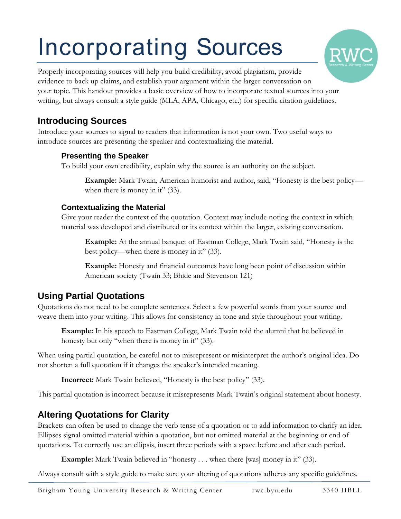# Incorporating Sources



### **Introducing Sources**

Introduce your sources to signal to readers that information is not your own. Two useful ways to introduce sources are presenting the speaker and contextualizing the material.

#### **Presenting the Speaker**

To build your own credibility, explain why the source is an authority on the subject.

**Example:** Mark Twain, American humorist and author, said, "Honesty is the best policy when there is money in it" (33).

#### **Contextualizing the Material**

Give your reader the context of the quotation. Context may include noting the context in which material was developed and distributed or its context within the larger, existing conversation.

**Example:** At the annual banquet of Eastman College, Mark Twain said, "Honesty is the best policy—when there is money in it" (33).

**Example:** Honesty and financial outcomes have long been point of discussion within American society (Twain 33; Bhide and Stevenson 121)

## **Using Partial Quotations**

Quotations do not need to be complete sentences. Select a few powerful words from your source and weave them into your writing. This allows for consistency in tone and style throughout your writing.

**Example:** In his speech to Eastman College, Mark Twain told the alumni that he believed in honesty but only "when there is money in it" (33).

When using partial quotation, be careful not to misrepresent or misinterpret the author's original idea. Do not shorten a full quotation if it changes the speaker's intended meaning.

**Incorrect:** Mark Twain believed, "Honesty is the best policy" (33).

This partial quotation is incorrect because it misrepresents Mark Twain's original statement about honesty.

### **Altering Quotations for Clarity**

Brackets can often be used to change the verb tense of a quotation or to add information to clarify an idea. Ellipses signal omitted material within a quotation, but not omitted material at the beginning or end of quotations. To correctly use an ellipsis, insert three periods with a space before and after each period.

**Example:** Mark Twain believed in "honesty . . . when there [was] money in it" (33).

Always consult with a style guide to make sure your altering of quotations adheres any specific guidelines.

**RV**